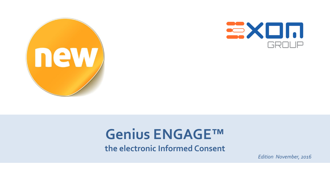



## **Genius ENGAGE™**

**the electronic Informed Consent**

*Edition November, 2016*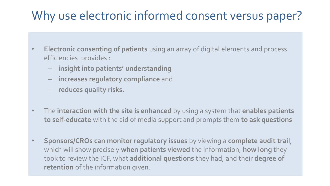#### Why use electronic informed consent versus paper?

- **Electronic consenting of patients** using an array of digital elements and process efficiencies provides :
	- **insight into patients' understanding**
	- **increases regulatory compliance** and
	- **reduces quality risks.**
- The **interaction with the site is enhanced** by using a system that **enables patients to self-educate** with the aid of media support and prompts them **to ask questions**
- **Sponsors/CROs can monitor regulatory issues** by viewing a **complete audit trail**, which will show precisely **when patients viewed** the information, **how long** they took to review the ICF, what **additional questions** they had, and their **degree of retention** of the information given.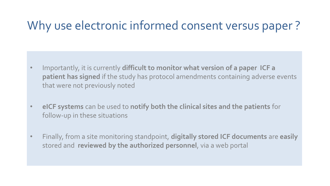#### Why use electronic informed consent versus paper ?

- Importantly, it is currently **difficult to monitor what version of a paper ICF a patient has signed** if the study has protocol amendments containing adverse events that were not previously noted
- **eICF systems** can be used to **notify both the clinical sites and the patients** for follow-up in these situations
- Finally, from a site monitoring standpoint, **digitally stored ICF documents** are **easily**  stored and **reviewed by the authorized personnel**, via a web portal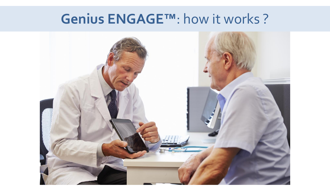### **Genius ENGAGE™**: how it works ?

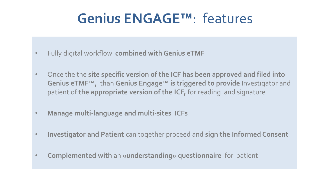# **Genius ENGAGE™**: features

- Fully digital workflow **combined with Genius eTMF**
- Once the the **site specific version of the ICF has been approved and filed into Genius eTMF™,** than **Genius Engage™ is triggered to provide** Investigator and patient of **the appropriate version of the ICF,** for reading and signature
- **Manage multi-language and multi-sites ICFs**
- **Investigator and Patient** can together proceed and **sign the Informed Consent**
- **Complemented with** an **«understanding» questionnaire** for patient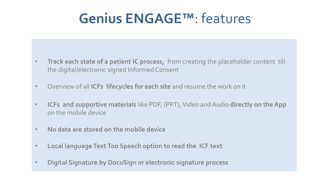## **Genius ENGAGE™**: features

- **Track each state of a patient IC process,** from creating the placeholder content till the digital/electronic signed Informed Consent
- Overview of all **ICFs lifecycles for each site** and resume the work on it
- **ICFs and supportive materials** like PDF, (PPT), Video and Audio **directly on the App** on the mobile device
- **No data are stored on the mobile device**
- **Local language Text Too Speech option to read the ICF text**
- **Digital Signature by DocuSign or electronic signature process**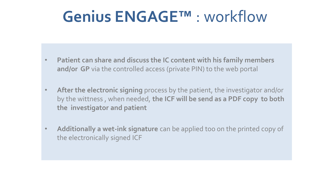# **Genius ENGAGE™** : workflow

- **Patient can share and discuss the IC content with his family members and/or GP** via the controlled access (private PIN) to the web portal
- **After the electronic signing** process by the patient, the investigator and/or by the wittness , when needed, **the ICF will be send as a PDF copy to both the investigator and patient**
- **Additionally a wet-ink signature** can be applied too on the printed copy of the electronically signed ICF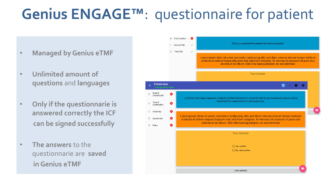# **Genius ENGAGE™**: questionnaire for patient

- **Managed by Genius eTMF**
- **Unlimited amount of questions** and **languages**
- **Only if the questionnarie is answered correctly the ICF can be signed successfully**
- **The answers** to the questionnarie are **saved in Genius eTMF**

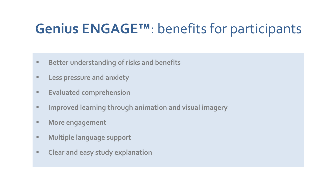# **Genius ENGAGE™**: benefits for participants

- **Better understanding of risks and benefits**
- **Less pressure and anxiety**
- **Evaluated comprehension**
- **Improved learning through animation and visual imagery**
- **More engagement**
- **Multiple language support**
- **Clear and easy study explanation**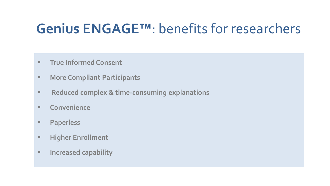# **Genius ENGAGE™**: benefits for researchers

- **True Informed Consent**
- **More Compliant Participants**
- **Reduced complex & time-consuming explanations**
- **Convenience**
- **Paperless**
- **Higher Enrollment**
- **Increased capability**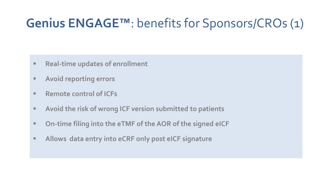#### **Genius ENGAGE™**: benefits for Sponsors/CROs (1)

- **Real-time updates of enrollment**
- **Avoid reporting errors**
- **Remote control of ICFs**
- **Avoid the risk of wrong ICF version submitted to patients**
- **On-time filing into the eTMF of the AOR of the signed eICF**
- **Allows data entry into eCRF only post eICF signature**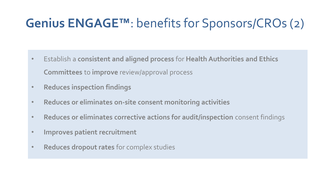## **Genius ENGAGE™**: benefits for Sponsors/CROs (2)

- Establish a **consistent and aligned process** for **Health Authorities and Ethics Committees** to **improve** review/approval process
- **Reduces inspection findings**
- **Reduces or eliminates on-site consent monitoring activities**
- **Reduces or eliminates corrective actions for audit/inspection** consent findings
- **Improves patient recruitment**
- **Reduces dropout rates** for complex studies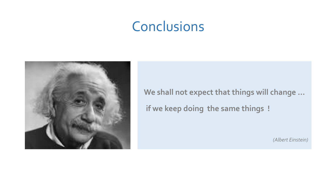### **Conclusions**



**We shall not expect that things will change … if we keep doing the same things !** 

*(Albert Einstein)*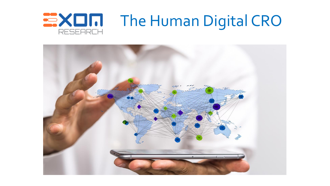